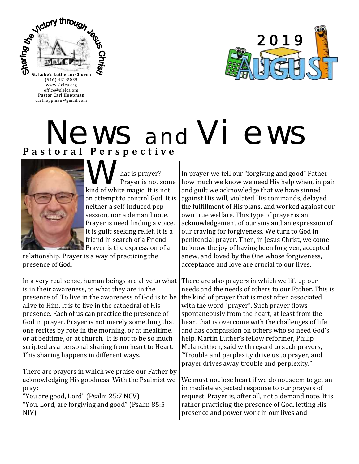

office@slelca.org **Pastor Carl Hoppman** carlhoppman@gmail.com



## **P a s t o r a l P e r s p e c t i v e** News and Vi ews



What is prayer? kind of white magic. It is not Prayer is not some an attempt to control God. It is neither a self-induced pep session, nor a demand note. Prayer is need finding a voice. It is guilt seeking relief. It is a friend in search of a Friend. Prayer is the expression of a

relationship. Prayer is a way of practicing the presence of God.

In a very real sense, human beings are alive to what is in their awareness, to what they are in the presence of. To live in the awareness of God is to be alive to Him. It is to live in the cathedral of His presence. Each of us can practice the presence of God in prayer. Prayer is not merely something that one recites by rote in the morning, or at mealtime, or at bedtime, or at church. It is not to be so much scripted as a personal sharing from heart to Heart. This sharing happens in different ways.

There are prayers in which we praise our Father by acknowledging His goodness. With the Psalmist we pray:

"You are good, Lord" (Psalm 25:7 NCV) "You, Lord, are forgiving and good" (Psalm 85:5 NIV)

In prayer we tell our "forgiving and good" Father how much we know we need His help when, in pain and guilt we acknowledge that we have sinned against His will, violated His commands, delayed the fulfillment of His plans, and worked against our own true welfare. This type of prayer is an acknowledgement of our sins and an expression of our craving for forgiveness. We turn to God in penitential prayer. Then, in Jesus Christ, we come to know the joy of having been forgiven, accepted anew, and loved by the One whose forgiveness, acceptance and love are crucial to our lives.

There are also prayers in which we lift up our needs and the needs of others to our Father. This is the kind of prayer that is most often associated with the word "prayer". Such prayer flows spontaneously from the heart, at least from the heart that is overcome with the challenges of life and has compassion on others who so need God's help. Martin Luther's fellow reformer, Philip Melanchthon, said with regard to such prayers, "Trouble and perplexity drive us to prayer, and prayer drives away trouble and perplexity."

We must not lose heart if we do not seem to get an immediate expected response to our prayers of request. Prayer is, after all, not a demand note. It is rather practicing the presence of God, letting His presence and power work in our lives and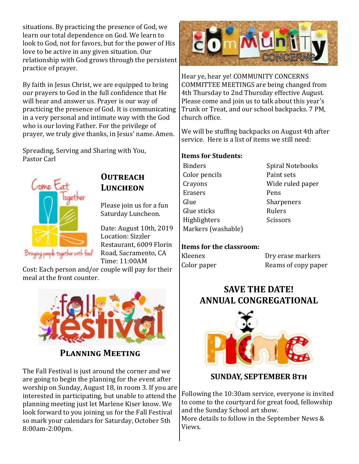situations. By practicing the presence of God, we learn our total dependence on God. We learn to look to God, not for favors, but for the power of His love to be active in any given situation. Our relationship with God grows through the persistent practice of prayer.

By faith in Jesus Christ, we are equipped to bring our prayers to God in the full confidence that He will hear and answer us. Prayer is our way of practicing the presence of God. It is communicating in a very personal and intimate way with the God who is our loving Father. For the privilege of prayer, we truly give thanks, in Jesus' name. Amen.

Spreading, Serving and Sharing with You, Pastor Carl



#### **Outreach LUNCHEON**

Please join us for a fun Saturday Luncheon.

Date: August 10th, 2019 Location: Sizzler Restaurant, 6009 Florin Road, Sacramento, CA Time: 11:00AM

Cost: Each person and/or couple will pay for their meal at the front counter.



#### **Planning Meeting**

The Fall Festival is just around the corner and we are going to begin the planning for the event after worship on Sunday, August 18, in room 3. If you are interested in participating, but unable to attend the planning meeting just let Marlene Kiser know. We look forward to you joining us for the Fall Festival so mark your calendars for Saturday, October 5th 8:00am-2:00pm.



Hear ye, hear ye! COMMUNITY CONCERNS COMMITTEE MEETINGS are being changed from 4th Thursday to 2nd Thursday effective August. Please come and join us to talk about this year's Trunk or Treat, and our school backpacks. 7 PM, church office.

We will be stuffing backpacks on August 4th after service. Here is a list of items we still need:

#### **Items for Students:**

Binders Spiral Notebooks Color pencils Paint sets Crayons Wide ruled paper Erasers Pens Glue Sharpeners Glue sticks **Rulers** Highlighters Scissors Markers (washable)

#### **Items for the classroom:**

Kleenex Dry erase markers Color paper Reams of copy paper

#### **SAVE THE DATE! ANNUAL CONGREGATIONAL**



#### **SUNDAY, SEPTEMBER 8th**

Following the 10:30am service, everyone is invited to come to the courtyard for great food, fellowship and the Sunday School art show.

More details to follow in the September News & Views.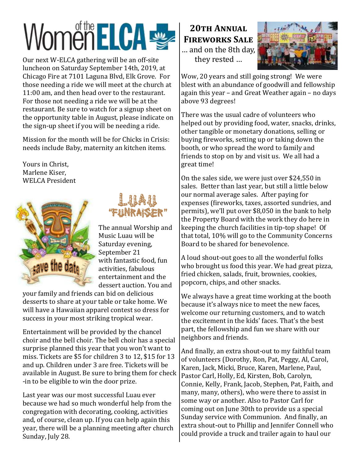# WomenELCA

Our next W-ELCA gathering will be an off-site luncheon on Saturday September 14th, 2019, at Chicago Fire at 7101 Laguna Blvd, Elk Grove. For those needing a ride we will meet at the church at 11:00 am, and then head over to the restaurant. For those not needing a ride we will be at the restaurant. Be sure to watch for a signup sheet on the opportunity table in August, please indicate on the sign-up sheet if you will be needing a ride.

Mission for the month will be for Chicks in Crisis: needs include Baby, maternity an kitchen items.

Yours in Christ, Marlene Kiser, WELCA President





The annual Worship and Music Luau will be Saturday evening, September 21 with fantastic food, fun activities, fabulous entertainment and the dessert auction. You and

your family and friends can bid on delicious desserts to share at your table or take home. We will have a Hawaiian apparel contest so dress for success in your most striking tropical wear.

Entertainment will be provided by the chancel choir and the bell choir. The bell choir has a special surprise planned this year that you won't want to miss. Tickets are \$5 for children 3 to 12, \$15 for 13 and up. Children under 3 are free. Tickets will be available in August. Be sure to bring them for check -in to be eligible to win the door prize.

Last year was our most successful Luau ever because we had so much wonderful help from the congregation with decorating, cooking, activities and, of course, clean up. If you can help again this year, there will be a planning meeting after church Sunday, July 28.

**20th Annual Fireworks Sale** … and on the 8th day, they rested …



Wow, 20 years and still going strong! We were blest with an abundance of goodwill and fellowship again this year – and Great Weather again – no days above 93 degrees!

There was the usual cadre of volunteers who helped out by providing food, water, snacks, drinks, other tangible or monetary donations, selling or buying fireworks, setting up or taking down the booth, or who spread the word to family and friends to stop on by and visit us. We all had a great time!

On the sales side, we were just over \$24,550 in sales. Better than last year, but still a little below our normal average sales. After paying for expenses (fireworks, taxes, assorted sundries, and permits), we'll put over \$8,050 in the bank to help the Property Board with the work they do here in keeping the church facilities in tip-top shape! Of that total, 10% will go to the Community Concerns Board to be shared for benevolence.

A loud shout-out goes to all the wonderful folks who brought us food this year. We had great pizza, fried chicken, salads, fruit, brownies, cookies, popcorn, chips, and other snacks.

We always have a great time working at the booth because it's always nice to meet the new faces, welcome our returning customers, and to watch the excitement in the kids' faces. That's the best part, the fellowship and fun we share with our neighbors and friends.

And finally, an extra shout-out to my faithful team of volunteers (Dorothy, Ron, Pat, Peggy, Al, Carol, Karen, Jack, Micki, Bruce, Karen, Marlene, Paul, Pastor Carl, Holly, Ed, Kirsten, Bob, Carolyn, Connie, Kelly, Frank, Jacob, Stephen, Pat, Faith, and many, many, others), who were there to assist in some way or another. Also to Pastor Carl for coming out on June 30th to provide us a special Sunday service with Communion. And finally, an extra shout-out to Phillip and Jennifer Connell who could provide a truck and trailer again to haul our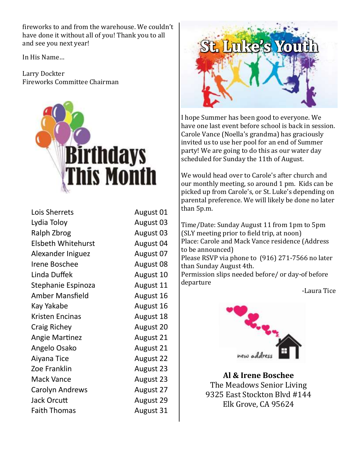fireworks to and from the warehouse. We couldn't have done it without all of you! Thank you to all and see you next year!

In His Name…

Larry Dockter Fireworks Committee Chairman



| Lois Sherrets             | August 01        |
|---------------------------|------------------|
| Lydia Toloy               | August 03        |
| Ralph Zbrog               | August 03        |
| <b>Elsbeth Whitehurst</b> | August 04        |
| Alexander Iniguez         | August 07        |
| Irene Boschee             | August 08        |
| Linda Duffek              | August 10        |
| Stephanie Espinoza        | August 11        |
| Amber Mansfield           | August 16        |
| Kay Yakabe                | August 16        |
| Kristen Encinas           | August 18        |
| <b>Craig Richey</b>       | <b>August 20</b> |
| <b>Angie Martinez</b>     | August 21        |
| Angelo Osako              | August 21        |
| Aiyana Tice               | <b>August 22</b> |
| Zoe Franklin              | August 23        |
| <b>Mack Vance</b>         | August 23        |
| <b>Carolyn Andrews</b>    | August 27        |
| Jack Orcutt               | <b>August 29</b> |
| <b>Faith Thomas</b>       | August 31        |



I hope Summer has been good to everyone. We have one last event before school is back in session. Carole Vance (Noella's grandma) has graciously invited us to use her pool for an end of Summer party! We are going to do this as our water day scheduled for Sunday the 11th of August.

We would head over to Carole's after church and our monthly meeting, so around 1 pm. Kids can be picked up from Carole's, or St. Luke's depending on parental preference. We will likely be done no later than 5p.m.

Time/Date: Sunday August 11 from 1pm to 5pm (SLY meeting prior to field trip, at noon) Place: Carole and Mack Vance residence (Address to be announced) Please RSVP via phone to (916) 271-7566 no later than Sunday August 4th. Permission slips needed before/ or day-of before departure

-Laura Tice



**Al & Irene Boschee** The Meadows Senior Living 9325 East Stockton Blvd #144 Elk Grove, CA 95624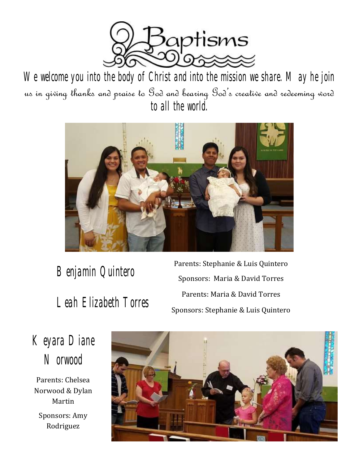

We welcome you into the body of Christ and into the mission we share. May he join us in giving thanks and praise to God and bearing God's creative and redeeming word to all the world.



Benjamin Quintero<br>
Parents: Stephanie & Luis Quintero<br>
Sponsors: Maria & David Torros Sponsors: Maria & David Torres Parents: Maria & David Torres Leah Elizabeth Torres Sponsors: Stephanie & Luis Quintero

Keyara Diane **Norwood** 

Parents: Chelsea Norwood & Dylan Martin Sponsors: Amy Rodriguez

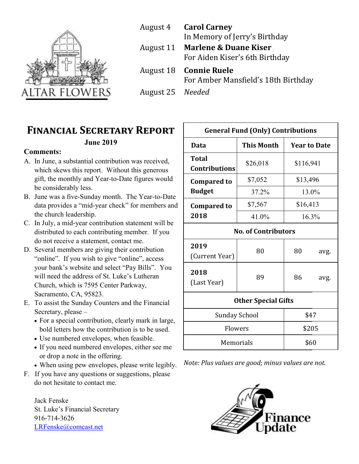

August 4 **Carol Carney** In Memory of Jerry's Birthday August 11 **Marlene & Duane Kiser** For Aiden Kiser's 6th Birthday August 18 **Connie Ruele** For Amber Mansfield's 18th Birthday August 25 *Needed*

### **Financial Secretary Report**

#### **June 2019**

#### **Comments:**

- A. In June, a substantial contribution was received, which skews this report. Without this generous gift, the monthly and Year-to-Date figures would be considerably less.
- B. June was a five-Sunday month. The Year-to-Date data provides a "mid-year check" for members and the church leadership.
- C. In July, a mid-year contribution statement will be distributed to each contributing member. If you do not receive a statement, contact me.
- D. Several members are giving their contribution "online". If you wish to give "online", access your bank's website and select "Pay Bills". You will need the address of St. Luke's Lutheran Church, which is 7595 Center Parkway, Sacramento, CA, 95823.
- E. To assist the Sunday Counters and the Financial Secretary, please –
	- For a special contribution, clearly mark in large, bold letters how the contribution is to be used.
	- Use numbered envelopes, when feasible.
	- If you need numbered envelopes, either see me or drop a note in the offering.
	- When using pew envelopes, please write legibly.
- F. If you have any questions or suggestions, please do not hesitate to contact me.

Jack Fenske St. Luke's Financial Secretary 916-714-3626 [LRFenske@comcast.net](mailto:LRFenske@comcast.net)

| <b>General Fund (Only) Contributions</b> |                   |                     |       |  |  |
|------------------------------------------|-------------------|---------------------|-------|--|--|
| Data                                     | <b>This Month</b> | <b>Year to Date</b> |       |  |  |
| <b>Total</b><br><b>Contributions</b>     | \$26,018          | \$116,941           |       |  |  |
| <b>Compared to</b>                       | \$7,052           | \$13,496            |       |  |  |
| <b>Budget</b>                            | 37.2%             |                     | 13.0% |  |  |
| <b>Compared to</b>                       | \$7,567           | \$16,413            |       |  |  |
| 2018                                     | 41.0%             |                     | 16.3% |  |  |
| <b>No. of Contributors</b>               |                   |                     |       |  |  |
| 2019<br>(Current Year)                   | 80                | 80                  | avg.  |  |  |
| 2018<br>(Last Year)                      | 89                | 86                  | avg.  |  |  |
| <b>Other Special Gifts</b>               |                   |                     |       |  |  |
| Sunday School                            |                   |                     | \$47  |  |  |
| Flowers                                  |                   | \$205               |       |  |  |
| Memorials                                |                   | \$60                |       |  |  |

*Note: Plus values are good; minus values are not.* 

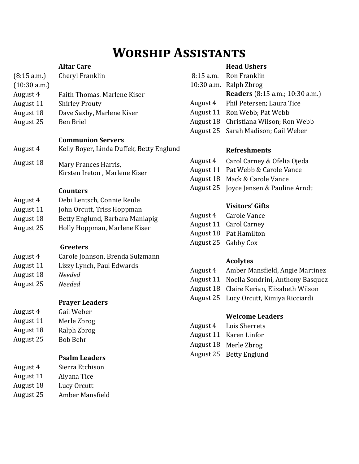## **Worship Assistants**

#### **Altar Care**

| (8:15 a.m.)  | Cheryl Franklin                          |
|--------------|------------------------------------------|
| (10:30 a.m.) |                                          |
| August 4     | Faith Thomas. Marlene Kiser              |
| August 11    | <b>Shirley Prouty</b>                    |
| August 18    | Dave Saxby, Marlene Kiser                |
| August 25    | <b>Ben Briel</b>                         |
|              |                                          |
|              |                                          |
|              | <b>Communion Servers</b>                 |
| August 4     | Kelly Boyer, Linda Duffek, Betty Englund |
|              |                                          |
| August 18    | Mary Frances Harris,                     |
|              | Kirsten Ireton, Marlene Kiser            |
|              |                                          |
|              | <b>Counters</b>                          |

- August 4 Debi Lentsch, Connie Reule
- August 11 John Orcutt, Triss Hoppman
- August 18 Betty Englund, Barbara Manlapig
- August 25 Holly Hoppman, Marlene Kiser

#### **Greeters**

- August 4 Carole Johnson, Brenda Sulzmann
- August 11 Lizzy Lynch, Paul Edwards
- August 18 *Needed*
- August 25 *Needed*

#### **Prayer Leaders**

- August 4 Gail Weber August 11 Merle Zbrog August 18 Ralph Zbrog
- August 25 Bob Behr

#### **Psalm Leaders**

- August 4 Sierra Etchison
- August 11 Aiyana Tice
- August 18 Lucy Orcutt
- August 25 Amber Mansfield

#### **Head Ushers**

| 8:15 a.m. Ron Franklin                 |
|----------------------------------------|
| 10:30 a.m. Ralph Zbrog                 |
| <b>Readers</b> (8:15 a.m.; 10:30 a.m.) |
| August 4 Phil Petersen; Laura Tice     |
| August 11 Ron Webb; Pat Webb           |
| August 18 Christiana Wilson; Ron Webb  |
| August 25 Sarah Madison; Gail Weber    |

#### **Refreshments**

- August 4 Carol Carney & Ofelia Ojeda
- August 11 Pat Webb & Carole Vance
- August 18 Mack & Carole Vance
- August 25 Joyce Jensen & Pauline Arndt

#### **Visitors' Gifts**

| August 4 | <b>Carole Vance</b>           |
|----------|-------------------------------|
|          | <b>August 11 Carol Carney</b> |
|          | August 18 Pat Hamilton        |
|          | August 25 Gabby Cox           |

#### **Acolytes**

- August 4 Amber Mansfield, Angie Martinez
- August 11 Noella Sondrini, Anthony Basquez
- August 18 Claire Kerian, Elizabeth Wilson
- August 25 Lucy Orcutt, Kimiya Ricciardi

#### **Welcome Leaders**

- August 4 Lois Sherrets
- August 11 Karen Linfor
- August 18 Merle Zbrog
- August 25 Betty Englund